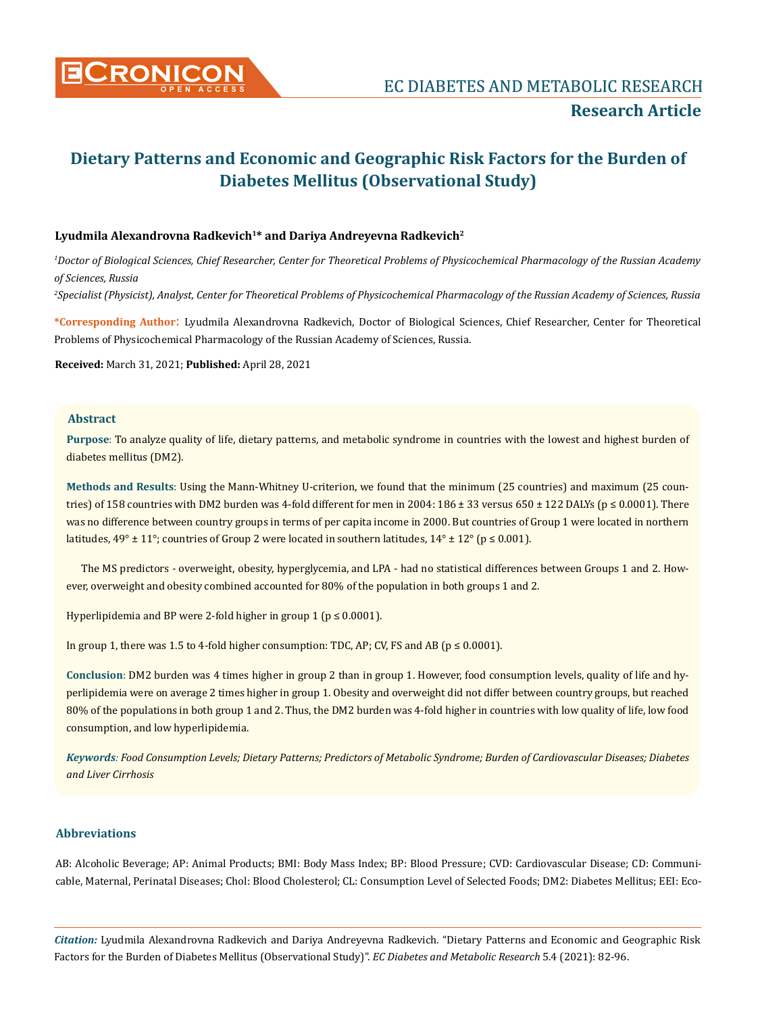

# Lyudmila Alexandrovna Radkevich<sup>1\*</sup> and Dariya Andreyevna Radkevich<sup>2</sup>

*1 Doctor of Biological Sciences, Chief Researcher, Center for Theoretical Problems of Physicochemical Pharmacology of the Russian Academy of Sciences, Russia*

*2 Specialist (Physicist), Analyst, Center for Theoretical Problems of Physicochemical Pharmacology of the Russian Academy of Sciences, Russia*

**\*Corresponding Author**: Lyudmila Alexandrovna Radkevich, Doctor of Biological Sciences, Chief Researcher, Center for Theoretical Problems of Physicochemical Pharmacology of the Russian Academy of Sciences, Russia.

**Received:** March 31, 2021; **Published:** April 28, 2021

# **Abstract**

**Purpose**: To analyze quality of life, dietary patterns, and metabolic syndrome in countries with the lowest and highest burden of diabetes mellitus (DM2).

**Methods and Results**: Using the Mann-Whitney U-criterion, we found that the minimum (25 countries) and maximum (25 countries) of 158 countries with DM2 burden was 4-fold different for men in 2004: 186 ± 33 versus 650 ± 122 DALYs ( $p \le 0.0001$ ). There was no difference between country groups in terms of per capita income in 2000. But countries of Group 1 were located in northern latitudes,  $49^{\circ} \pm 11^{\circ}$ ; countries of Group 2 were located in southern latitudes,  $14^{\circ} \pm 12^{\circ}$  (p  $\leq 0.001$ ).

The MS predictors - overweight, obesity, hyperglycemia, and LPA - had no statistical differences between Groups 1 and 2. However, overweight and obesity combined accounted for 80% of the population in both groups 1 and 2.

Hyperlipidemia and BP were 2-fold higher in group 1 ( $p \le 0.0001$ ).

In group 1, there was 1.5 to 4-fold higher consumption: TDC, AP; CV, FS and AB ( $p \le 0.0001$ ).

**Conclusion**: DM2 burden was 4 times higher in group 2 than in group 1. However, food consumption levels, quality of life and hyperlipidemia were on average 2 times higher in group 1. Obesity and overweight did not differ between country groups, but reached 80% of the populations in both group 1 and 2. Thus, the DM2 burden was 4-fold higher in countries with low quality of life, low food consumption, and low hyperlipidemia.

*Keywords: Food Consumption Levels; Dietary Patterns; Predictors of Metabolic Syndrome; Burden of Cardiovascular Diseases; Diabetes and Liver Cirrhosis*

# **Abbreviations**

AB: Alcoholic Beverage; AP: Animal Products; BMI: Body Mass Index; BP: Blood Pressure; CVD: Cardiovascular Disease; CD: Communicable, Maternal, Perinatal Diseases; Chol: Blood Cholesterol; CL: Consumption Level of Selected Foods; DM2: Diabetes Mellitus; EEI: Eco-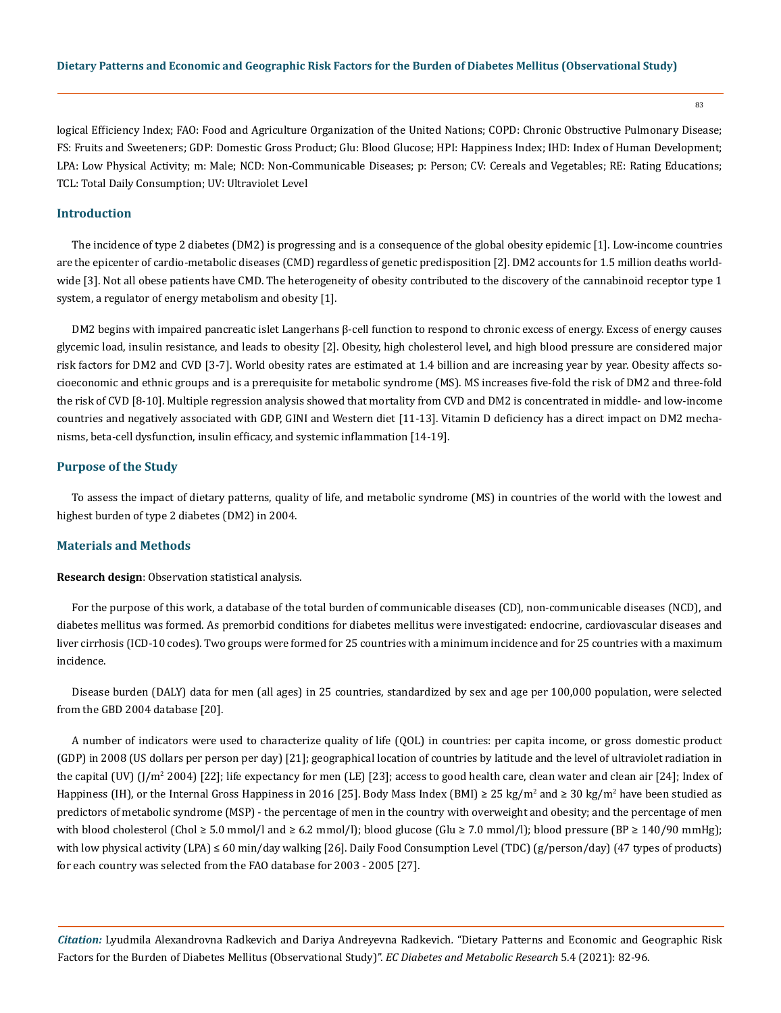logical Efficiency Index; FAO: Food and Agriculture Organization of the United Nations; COPD: Chronic Obstructive Pulmonary Disease; FS: Fruits and Sweeteners; GDP: Domestic Gross Product; Glu: Blood Glucose; HPI: Happiness Index; IHD: Index of Human Development; LPA: Low Physical Activity; m: Male; NCD: Non-Communicable Diseases; p: Person; CV: Cereals and Vegetables; RE: Rating Educations; TCL: Total Daily Consumption; UV: Ultraviolet Level

# **Introduction**

The incidence of type 2 diabetes (DM2) is progressing and is a consequence of the global obesity epidemic [1]. Low-income countries are the epicenter of cardio-metabolic diseases (CMD) regardless of genetic predisposition [2]. DM2 accounts for 1.5 million deaths worldwide [3]. Not all obese patients have CMD. The heterogeneity of obesity contributed to the discovery of the cannabinoid receptor type 1 system, a regulator of energy metabolism and obesity [1].

DM2 begins with impaired pancreatic islet Langerhans β-cell function to respond to chronic excess of energy. Excess of energy causes glycemic load, insulin resistance, and leads to obesity [2]. Obesity, high cholesterol level, and high blood pressure are considered major risk factors for DM2 and CVD [3-7]. World obesity rates are estimated at 1.4 billion and are increasing year by year. Obesity affects socioeconomic and ethnic groups and is a prerequisite for metabolic syndrome (MS). MS increases five-fold the risk of DM2 and three-fold the risk of CVD [8-10]. Multiple regression analysis showed that mortality from CVD and DM2 is concentrated in middle- and low-income countries and negatively associated with GDP, GINI and Western diet [11-13]. Vitamin D deficiency has a direct impact on DM2 mechanisms, beta-cell dysfunction, insulin efficacy, and systemic inflammation [14-19].

#### **Purpose of the Study**

To assess the impact of dietary patterns, quality of life, and metabolic syndrome (MS) in countries of the world with the lowest and highest burden of type 2 diabetes (DM2) in 2004.

## **Materials and Methods**

**Research design**: Observation statistical analysis.

For the purpose of this work, a database of the total burden of communicable diseases (CD), non-communicable diseases (NCD), and diabetes mellitus was formed. As premorbid conditions for diabetes mellitus were investigated: endocrine, cardiovascular diseases and liver cirrhosis (ICD-10 codes). Two groups were formed for 25 countries with a minimum incidence and for 25 countries with a maximum incidence.

Disease burden (DALY) data for men (all ages) in 25 countries, standardized by sex and age per 100,000 population, were selected from the GBD 2004 database [20].

A number of indicators were used to characterize quality of life (QOL) in countries: per capita income, or gross domestic product (GDP) in 2008 (US dollars per person per day) [21]; geographical location of countries by latitude and the level of ultraviolet radiation in the capital (UV) (J/m<sup>2</sup> 2004) [22]; life expectancy for men (LE) [23]; access to good health care, clean water and clean air [24]; Index of Happiness (IH), or the Internal Gross Happiness in 2016 [25]. Body Mass Index (BMI) ≥ 25 kg/m<sup>2</sup> and ≥ 30 kg/m<sup>2</sup> have been studied as predictors of metabolic syndrome (MSP) - the percentage of men in the country with overweight and obesity; and the percentage of men with blood cholesterol (Chol  $\geq 5.0$  mmol/l and  $\geq 6.2$  mmol/l); blood glucose (Glu  $\geq 7.0$  mmol/l); blood pressure (BP  $\geq 140/90$  mmHg); with low physical activity (LPA) ≤ 60 min/day walking [26]. Daily Food Consumption Level (TDC) (g/person/day) (47 types of products) for each country was selected from the FAO database for 2003 - 2005 [27].

*Citation:* Lyudmila Alexandrovna Radkevich and Dariya Andreyevna Radkevich*.* "Dietary Patterns and Economic and Geographic Risk Factors for the Burden of Diabetes Mellitus (Observational Study)". *EC Diabetes and Metabolic Research* 5.4 (2021): 82-96.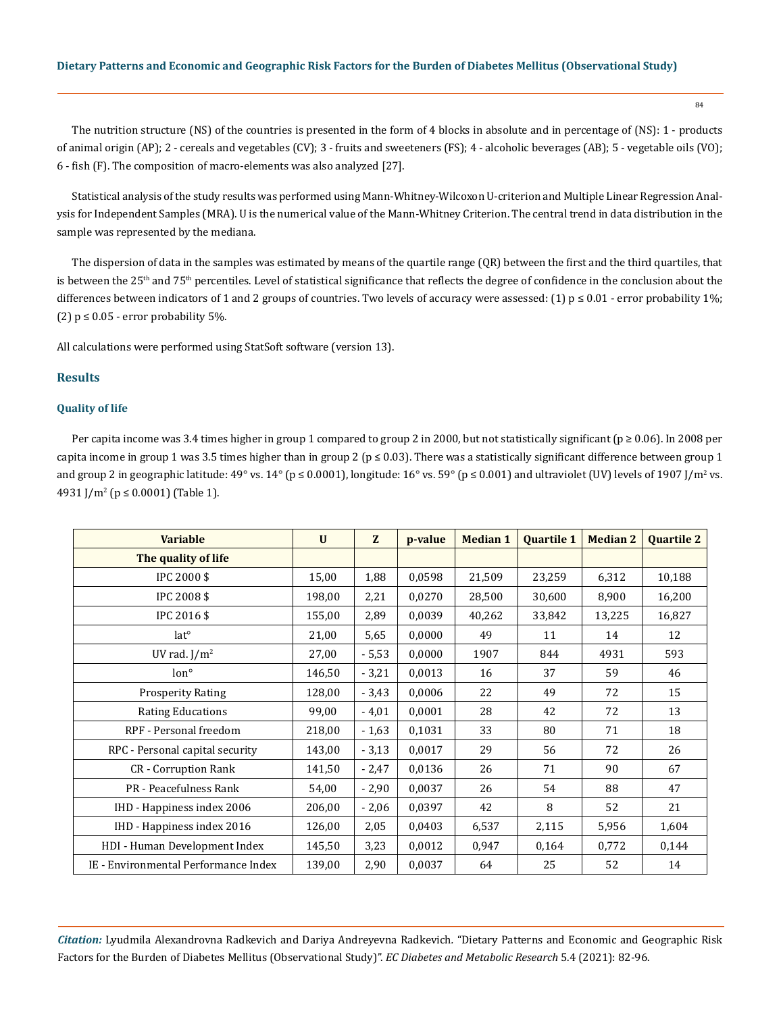84

The nutrition structure (NS) of the countries is presented in the form of 4 blocks in absolute and in percentage of (NS): 1 - products of animal origin (AP); 2 - cereals and vegetables (CV); 3 - fruits and sweeteners (FS); 4 - alcoholic beverages (AB); 5 - vegetable oils (VO); 6 - fish (F). The composition of macro-elements was also analyzed [27].

Statistical analysis of the study results was performed using Mann-Whitney-Wilcoxon U-criterion and Multiple Linear Regression Analysis for Independent Samples (MRA). U is the numerical value of the Mann-Whitney Criterion. The central trend in data distribution in the sample was represented by the mediana.

The dispersion of data in the samples was estimated by means of the quartile range (QR) between the first and the third quartiles, that is between the  $25<sup>th</sup>$  and  $75<sup>th</sup>$  percentiles. Level of statistical significance that reflects the degree of confidence in the conclusion about the differences between indicators of 1 and 2 groups of countries. Two levels of accuracy were assessed: (1)  $p \le 0.01$  - error probability 1%; (2)  $p \le 0.05$  - error probability 5%.

All calculations were performed using StatSoft software (version 13).

# **Results**

# **Quality of life**

Per capita income was 3.4 times higher in group 1 compared to group 2 in 2000, but not statistically significant ( $p \ge 0.06$ ). In 2008 per capita income in group 1 was 3.5 times higher than in group 2 ( $p \le 0.03$ ). There was a statistically significant difference between group 1 and group 2 in geographic latitude: 49° vs. 14° (p ≤ 0.0001), longitude: 16° vs. 59° (p ≤ 0.001) and ultraviolet (UV) levels of 1907 J/m² vs. 4931 J/m2 (p ≤ 0.0001) (Table 1).

| <b>Variable</b>                      | $\mathbf{U}$ | Z       | p-value | <b>Median 1</b> | <b>Ouartile 1</b> | <b>Median 2</b> | <b>Quartile 2</b> |
|--------------------------------------|--------------|---------|---------|-----------------|-------------------|-----------------|-------------------|
| The quality of life                  |              |         |         |                 |                   |                 |                   |
| IPC 2000 \$                          | 15,00        | 1,88    | 0,0598  | 21,509          | 23,259            | 6,312           | 10,188            |
| IPC 2008 \$                          | 198,00       | 2,21    | 0,0270  | 28,500          | 30,600            | 8,900           | 16,200            |
| IPC 2016 \$                          | 155,00       | 2,89    | 0,0039  | 40,262          | 33,842            | 13,225          | 16,827            |
| lat <sup>o</sup>                     | 21,00        | 5,65    | 0,0000  | 49              | 11                | 14              | 12                |
| UV rad. $J/m^2$                      | 27,00        | $-5,53$ | 0,0000  | 1907            | 844               | 4931            | 593               |
| lon <sup>°</sup>                     | 146,50       | $-3,21$ | 0,0013  | 16              | 37                | 59              | 46                |
| <b>Prosperity Rating</b>             | 128,00       | $-3,43$ | 0,0006  | 22              | 49                | 72              | 15                |
| <b>Rating Educations</b>             | 99,00        | $-4,01$ | 0,0001  | 28              | 42                | 72              | 13                |
| RPF - Personal freedom               | 218,00       | $-1,63$ | 0,1031  | 33              | 80                | 71              | 18                |
| RPC - Personal capital security      | 143,00       | $-3,13$ | 0,0017  | 29              | 56                | 72              | 26                |
| <b>CR</b> - Corruption Rank          | 141,50       | $-2,47$ | 0,0136  | 26              | 71                | 90              | 67                |
| PR - Peacefulness Rank               | 54,00        | $-2,90$ | 0,0037  | 26              | 54                | 88              | 47                |
| IHD - Happiness index 2006           | 206,00       | $-2,06$ | 0,0397  | 42              | 8                 | 52              | 21                |
| IHD - Happiness index 2016           | 126,00       | 2,05    | 0,0403  | 6,537           | 2,115             | 5,956           | 1,604             |
| HDI - Human Development Index        | 145,50       | 3,23    | 0,0012  | 0,947           | 0,164             | 0,772           | 0,144             |
| IE - Environmental Performance Index | 139,00       | 2,90    | 0,0037  | 64              | 25                | 52              | 14                |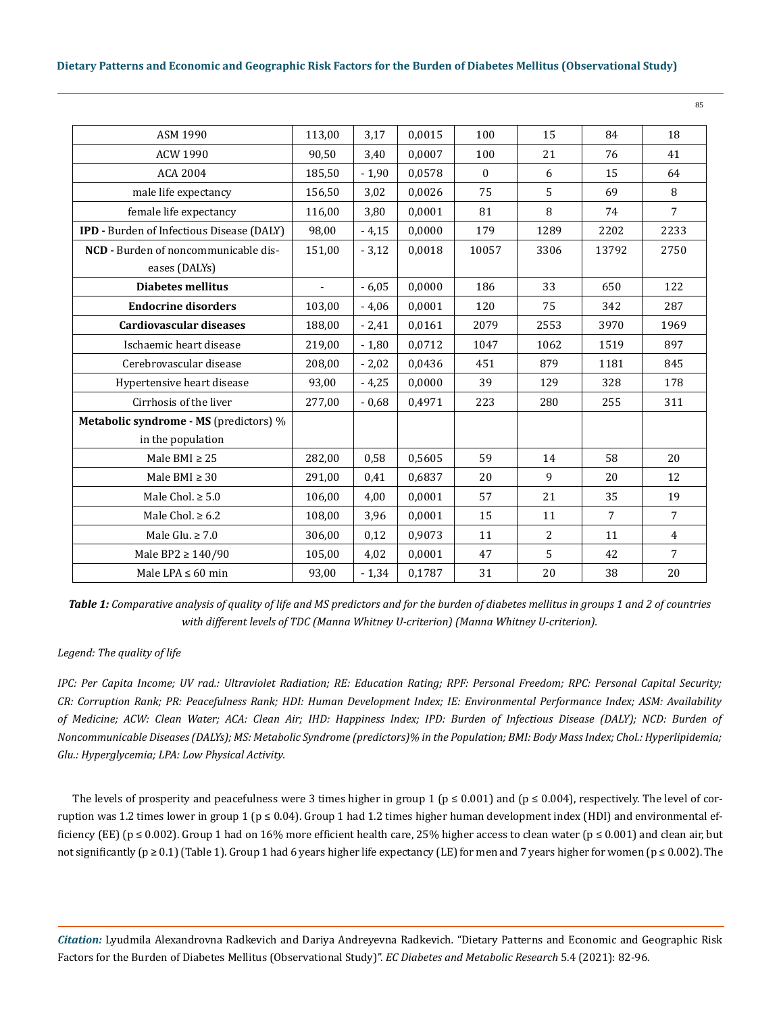| ASM 1990                                  | 113,00        | 3,17    | 0,0015 | 100      | 15             | 84             | 18             |
|-------------------------------------------|---------------|---------|--------|----------|----------------|----------------|----------------|
| <b>ACW 1990</b>                           | 90,50         | 3,40    | 0,0007 | 100      | 21             | 76             | 41             |
| <b>ACA 2004</b>                           | 185,50        | $-1,90$ | 0,0578 | $\theta$ | 6              | 15             | 64             |
| male life expectancy                      | 156,50        | 3,02    | 0,0026 | 75       | 5              | 69             | 8              |
| female life expectancy                    | 116,00        | 3,80    | 0,0001 | 81       | 8              | 74             | $\overline{7}$ |
| IPD - Burden of Infectious Disease (DALY) | 98,00         | $-4,15$ | 0,0000 | 179      | 1289           | 2202           | 2233           |
| NCD - Burden of noncommunicable dis-      | 151,00        | $-3,12$ | 0,0018 | 10057    | 3306           | 13792          | 2750           |
| eases (DALYs)                             |               |         |        |          |                |                |                |
| <b>Diabetes mellitus</b>                  | $\frac{1}{2}$ | $-6,05$ | 0,0000 | 186      | 33             | 650            | 122            |
| <b>Endocrine disorders</b>                | 103,00        | $-4,06$ | 0,0001 | 120      | 75             | 342            | 287            |
| Cardiovascular diseases                   | 188,00        | $-2,41$ | 0,0161 | 2079     | 2553           | 3970           | 1969           |
| Ischaemic heart disease                   | 219,00        | $-1,80$ | 0,0712 | 1047     | 1062           | 1519           | 897            |
| Cerebrovascular disease                   | 208,00        | $-2,02$ | 0,0436 | 451      | 879            | 1181           | 845            |
| Hypertensive heart disease                | 93,00         | $-4,25$ | 0,0000 | 39       | 129            | 328            | 178            |
| Cirrhosis of the liver                    | 277,00        | $-0,68$ | 0,4971 | 223      | 280            | 255            | 311            |
| Metabolic syndrome - MS (predictors) %    |               |         |        |          |                |                |                |
| in the population                         |               |         |        |          |                |                |                |
| Male BMI $\geq$ 25                        | 282,00        | 0,58    | 0,5605 | 59       | 14             | 58             | 20             |
| Male BMI $\geq 30$                        | 291,00        | 0,41    | 0,6837 | 20       | 9              | 20             | 12             |
| Male Chol. $\geq 5.0$                     | 106,00        | 4,00    | 0,0001 | 57       | 21             | 35             | 19             |
| Male Chol. $\geq 6.2$                     | 108,00        | 3,96    | 0,0001 | 15       | 11             | $\overline{7}$ | $\overline{7}$ |
| Male Glu. $\geq 7.0$                      | 306,00        | 0,12    | 0,9073 | 11       | $\overline{2}$ | 11             | $\overline{4}$ |
| Male BP2 $\geq$ 140/90                    | 105,00        | 4,02    | 0,0001 | 47       | 5              | 42             | $\overline{7}$ |
| Male LPA $\leq 60$ min                    | 93,00         | $-1,34$ | 0,1787 | 31       | 20             | 38             | 20             |

*Table 1: Comparative analysis of quality of life and MS predictors and for the burden of diabetes mellitus in groups 1 and 2 of countries with different levels of TDC (Manna Whitney U-criterion) (Manna Whitney U-criterion).*

# *Legend: The quality of life*

*IPC: Per Capita Income; UV rad.: Ultraviolet Radiation; RE: Education Rating; RPF: Personal Freedom; RPC: Personal Capital Security; CR: Corruption Rank; PR: Peacefulness Rank; HDI: Human Development Index; IE: Environmental Performance Index; ASM: Availability of Medicine; ACW: Clean Water; ACA: Clean Air; IHD: Happiness Index; IPD: Burden of Infectious Disease (DALY); NCD: Burden of Noncommunicable Diseases (DALYs); MS: Metabolic Syndrome (predictors)% in the Population; BMI: Body Mass Index; Сhol.: Hyperlipidemia; Glu.: Hyperglycemia; LPA: Low Physical Activity.*

The levels of prosperity and peacefulness were 3 times higher in group 1 ( $p \le 0.001$ ) and ( $p \le 0.004$ ), respectively. The level of corruption was 1.2 times lower in group 1 ( $p \le 0.04$ ). Group 1 had 1.2 times higher human development index (HDI) and environmental efficiency (EE) ( $p \le 0.002$ ). Group 1 had on 16% more efficient health care, 25% higher access to clean water ( $p \le 0.001$ ) and clean air, but not significantly (p ≥ 0.1) (Table 1). Group 1 had 6 years higher life expectancy (LE) for men and 7 years higher for women (p ≤ 0.002). The

*Citation:* Lyudmila Alexandrovna Radkevich and Dariya Andreyevna Radkevich*.* "Dietary Patterns and Economic and Geographic Risk Factors for the Burden of Diabetes Mellitus (Observational Study)". *EC Diabetes and Metabolic Research* 5.4 (2021): 82-96.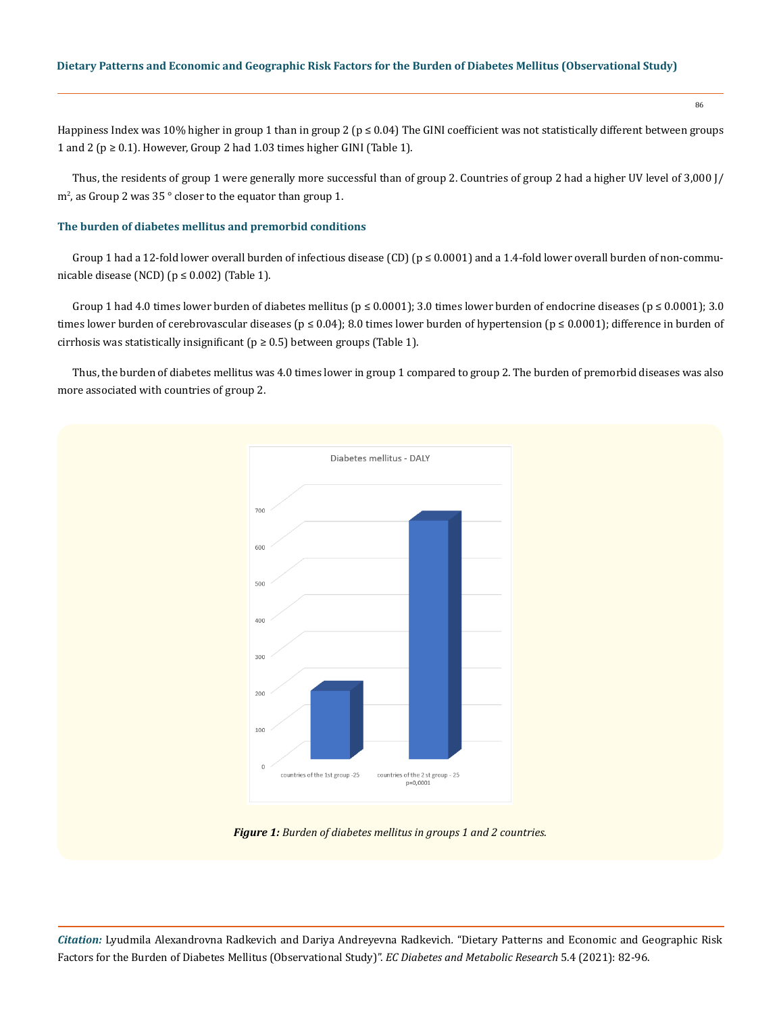86

Happiness Index was 10% higher in group 1 than in group 2 (p ≤ 0.04) The GINI coefficient was not statistically different between groups 1 and 2 ( $p \ge 0.1$ ). However, Group 2 had 1.03 times higher GINI (Table 1).

Thus, the residents of group 1 were generally more successful than of group 2. Countries of group 2 had a higher UV level of 3,000 J/ m<sup>2</sup> , as Group 2 was 35 ° closer to the equator than group 1.

# **The burden of diabetes mellitus and premorbid conditions**

Group 1 had a 12-fold lower overall burden of infectious disease (CD) ( $p \le 0.0001$ ) and a 1.4-fold lower overall burden of non-communicable disease (NCD) ( $p \le 0.002$ ) (Table 1).

Group 1 had 4.0 times lower burden of diabetes mellitus ( $p \le 0.0001$ ); 3.0 times lower burden of endocrine diseases ( $p \le 0.0001$ ); 3.0 times lower burden of cerebrovascular diseases ( $p \le 0.04$ ); 8.0 times lower burden of hypertension ( $p \le 0.0001$ ); difference in burden of cirrhosis was statistically insignificant ( $p \ge 0.5$ ) between groups (Table 1).

Thus, the burden of diabetes mellitus was 4.0 times lower in group 1 compared to group 2. The burden of premorbid diseases was also more associated with countries of group 2.



*Figure 1: Burden of diabetes mellitus in groups 1 and 2 countries.*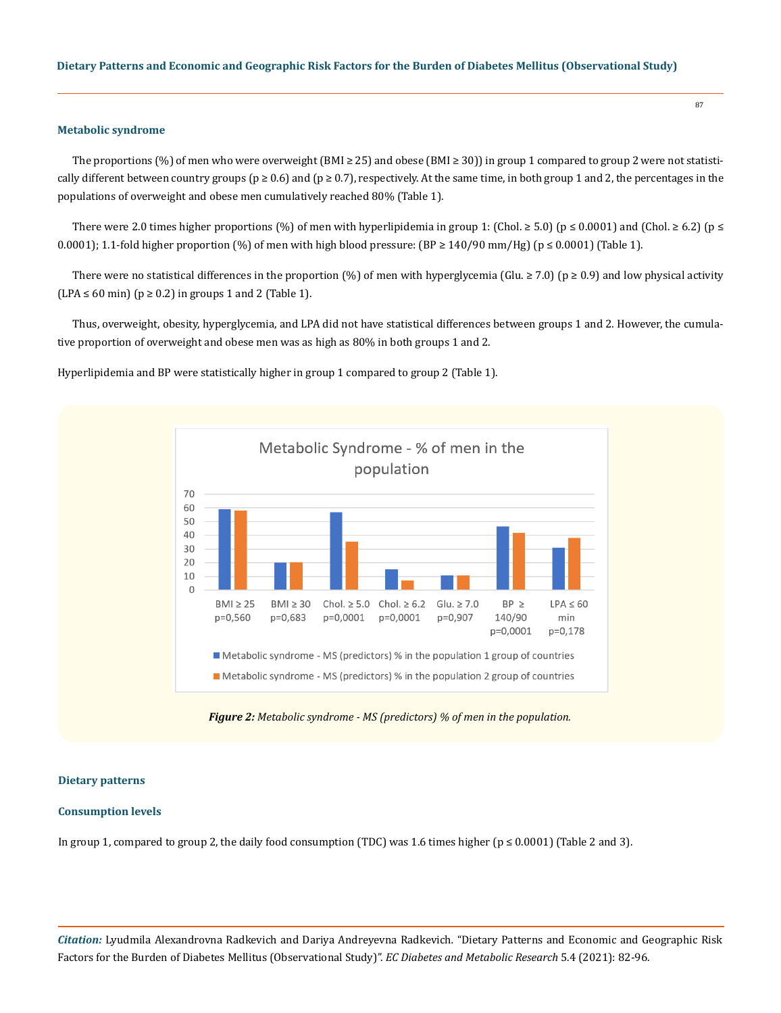#### **Metabolic syndrome**

The proportions (%) of men who were overweight (BMI ≥ 25) and obese (BMI ≥ 30)) in group 1 compared to group 2 were not statistically different between country groups ( $p \ge 0.6$ ) and ( $p \ge 0.7$ ), respectively. At the same time, in both group 1 and 2, the percentages in the populations of overweight and obese men cumulatively reached 80% (Table 1).

There were 2.0 times higher proportions (%) of men with hyperlipidemia in group 1: (Chol. ≥ 5.0) (p ≤ 0.0001) and (Chol. ≥ 6.2) (p ≤ 0.0001); 1.1-fold higher proportion (%) of men with high blood pressure:  $(BP \ge 140/90 \text{ mm/Hz})$  ( $p \le 0.0001$ ) (Table 1).

There were no statistical differences in the proportion (%) of men with hyperglycemia (Glu.  $\geq$  7.0) (p  $\geq$  0.9) and low physical activity  $(LPA \le 60 \text{ min})$  ( $p \ge 0.2$ ) in groups 1 and 2 (Table 1).

Thus, overweight, obesity, hyperglycemia, and LPA did not have statistical differences between groups 1 and 2. However, the cumulative proportion of overweight and obese men was as high as 80% in both groups 1 and 2.

Hyperlipidemia and BP were statistically higher in group 1 compared to group 2 (Table 1).



*Figure 2: Metabolic syndrome - MS (predictors) % of men in the population.*

#### **Dietary patterns**

#### **Consumption levels**

In group 1, compared to group 2, the daily food consumption (TDC) was 1.6 times higher ( $p \le 0.0001$ ) (Table 2 and 3).

*Citation:* Lyudmila Alexandrovna Radkevich and Dariya Andreyevna Radkevich*.* "Dietary Patterns and Economic and Geographic Risk Factors for the Burden of Diabetes Mellitus (Observational Study)". *EC Diabetes and Metabolic Research* 5.4 (2021): 82-96.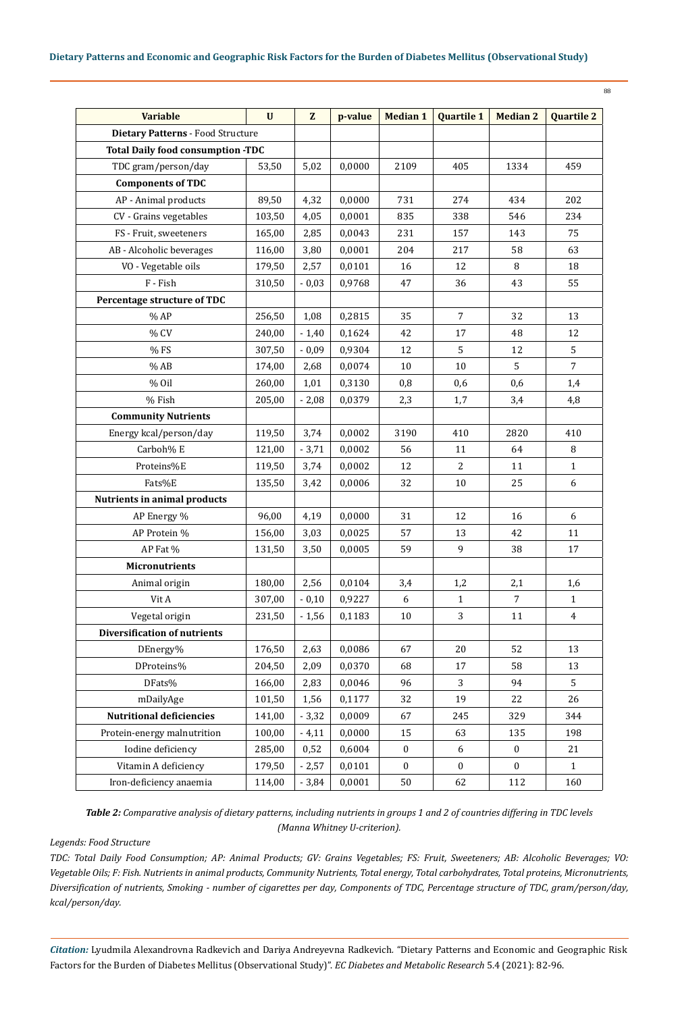| ۰.<br>I<br>۰,<br>I<br>$-$ |  |
|---------------------------|--|

| <b>Variable</b>                          | $\mathbf{U}$ | $\mathbf{Z}$ | p-value | <b>Median 1</b>  | <b>Quartile 1</b> | <b>Median 2</b>  | <b>Quartile 2</b> |
|------------------------------------------|--------------|--------------|---------|------------------|-------------------|------------------|-------------------|
| Dietary Patterns - Food Structure        |              |              |         |                  |                   |                  |                   |
| <b>Total Daily food consumption -TDC</b> |              |              |         |                  |                   |                  |                   |
| TDC gram/person/day                      | 53,50        | 5,02         | 0,0000  | 2109             | 405               | 1334             | 459               |
| <b>Components of TDC</b>                 |              |              |         |                  |                   |                  |                   |
| AP - Animal products                     | 89,50        | 4,32         | 0,0000  | 731              | 274               | 434              | 202               |
| CV - Grains vegetables                   | 103,50       | 4,05         | 0,0001  | 835              | 338               | 546              | 234               |
| FS - Fruit, sweeteners                   | 165,00       | 2,85         | 0,0043  | 231              | 157               | 143              | 75                |
| AB - Alcoholic beverages                 | 116,00       | 3,80         | 0,0001  | 204              | 217               | 58               | 63                |
| VO - Vegetable oils                      | 179,50       | 2,57         | 0,0101  | 16               | 12                | 8                | 18                |
| F - Fish                                 | 310,50       | $-0,03$      | 0,9768  | 47               | 36                | 43               | 55                |
| Percentage structure of TDC              |              |              |         |                  |                   |                  |                   |
| $\%$ AP                                  | 256,50       | 1,08         | 0,2815  | 35               | $\overline{7}$    | 32               | 13                |
| % CV                                     | 240,00       | $-1,40$      | 0,1624  | 42               | 17                | 48               | 12                |
| % FS                                     | 307,50       | $-0,09$      | 0,9304  | 12               | 5                 | 12               | $\sqrt{5}$        |
| $%$ AB                                   | 174,00       | 2,68         | 0,0074  | 10               | 10                | 5                | $\overline{7}$    |
| % Oil                                    | 260,00       | 1,01         | 0,3130  | 0,8              | 0,6               | 0,6              | 1,4               |
| % Fish                                   | 205,00       | $-2,08$      | 0,0379  | 2,3              | 1,7               | 3,4              | 4,8               |
| <b>Community Nutrients</b>               |              |              |         |                  |                   |                  |                   |
| Energy kcal/person/day                   | 119,50       | 3,74         | 0,0002  | 3190             | 410               | 2820             | 410               |
| Carboh% E                                | 121,00       | $-3,71$      | 0,0002  | 56               | 11                | 64               | $\, 8$            |
| Proteins%E                               | 119,50       | 3,74         | 0,0002  | 12               | 2                 | 11               | $\mathbf{1}$      |
| Fats%E                                   | 135,50       | 3,42         | 0,0006  | 32               | $10\,$            | 25               | 6                 |
| <b>Nutrients in animal products</b>      |              |              |         |                  |                   |                  |                   |
| AP Energy %                              | 96,00        | 4,19         | 0,0000  | 31               | 12                | 16               | 6                 |
| AP Protein %                             | 156,00       | 3,03         | 0,0025  | 57               | 13                | 42               | 11                |
| AP Fat %                                 | 131,50       | 3,50         | 0,0005  | 59               | 9                 | 38               | $17\,$            |
| <b>Micronutrients</b>                    |              |              |         |                  |                   |                  |                   |
| Animal origin                            | 180,00       | 2,56         | 0,0104  | 3,4              | 1,2               | 2,1              | 1,6               |
| Vit A                                    | 307,00       | $-0,10$      | 0,9227  | 6                | $\mathbf 1$       | $\overline{7}$   | $\mathbf 1$       |
| Vegetal origin                           | 231,50       | $-1,56$      | 0,1183  | 10               | 3                 | 11               | $\overline{4}$    |
| <b>Diversification of nutrients</b>      |              |              |         |                  |                   |                  |                   |
| DEnergy%                                 | 176,50       | 2,63         | 0,0086  | 67               | 20                | 52               | 13                |
| DProteins%                               | 204,50       | 2,09         | 0,0370  | 68               | 17                | 58               | 13                |
| DFats%                                   | 166,00       | 2,83         | 0,0046  | 96               | 3                 | 94               | 5                 |
| mDailyAge                                | 101,50       | 1,56         | 0,1177  | 32               | 19                | 22               | 26                |
| <b>Nutritional deficiencies</b>          | 141,00       | $-3,32$      | 0,0009  | 67               | 245               | 329              | 344               |
| Protein-energy malnutrition              | 100,00       | $-4,11$      | 0,0000  | 15               | 63                | 135              | 198               |
| Iodine deficiency                        | 285,00       | 0,52         | 0,6004  | $\boldsymbol{0}$ | 6                 | $\boldsymbol{0}$ | 21                |
| Vitamin A deficiency                     | 179,50       | $-2,57$      | 0,0101  | $\mathbf{0}$     | $\mathbf{0}$      | $\mathbf{0}$     | $\mathbf{1}$      |
| Iron-deficiency anaemia                  | 114,00       | $-3,84$      | 0,0001  | 50               | 62                | 112              | 160               |

*Table 2: Comparative analysis of dietary patterns, including nutrients in groups 1 and 2 of countries differing in TDC levels (Manna Whitney U-criterion).*

# *Legends: Food Structure*

*TDC: Total Daily Food Consumption; AP: Animal Products; GV: Grains Vegetables; FS: Fruit, Sweeteners; AB: Alcoholic Beverages; VO: Vegetable Oils; F: Fish. Nutrients in animal products, Community Nutrients, Total energy, Total carbohydrates, Total proteins, Micronutrients, Diversification of nutrients, Smoking - number of cigarettes per day, Components of TDC, Percentage structure of TDC, gram/person/day, kcal/person/day.*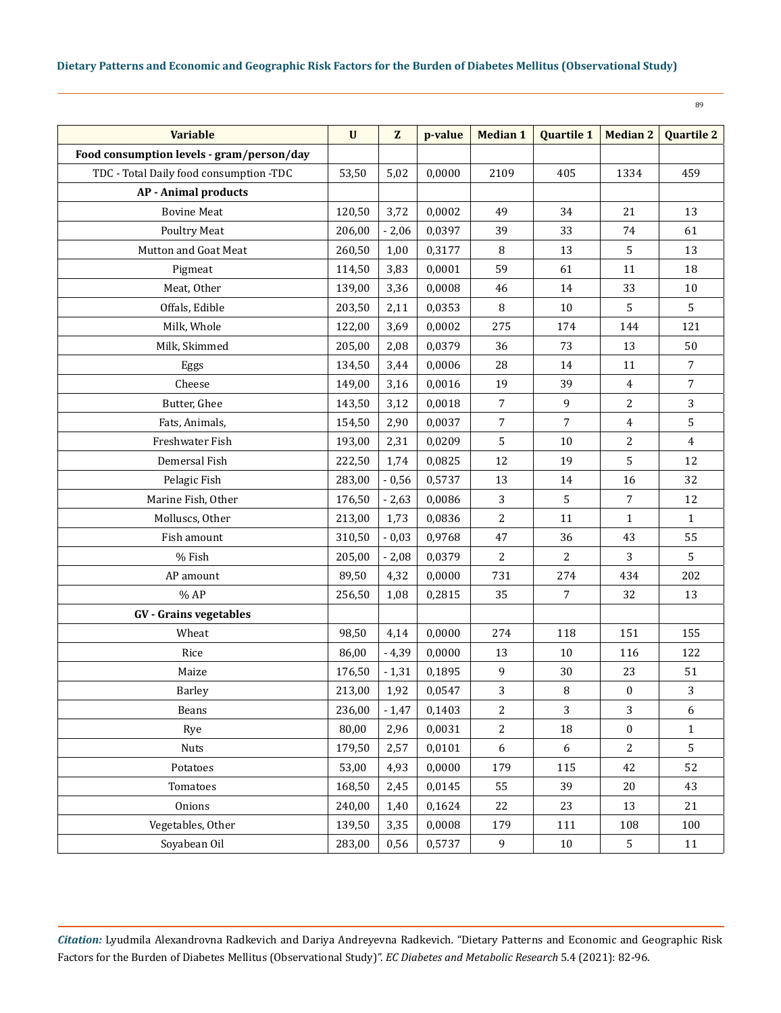| <b>Variable</b>                           | $\mathbf U$ | Z       | p-value | <b>Median 1</b> | <b>Quartile 1</b> | <b>Median 2</b>  | <b>Quartile 2</b> |
|-------------------------------------------|-------------|---------|---------|-----------------|-------------------|------------------|-------------------|
| Food consumption levels - gram/person/day |             |         |         |                 |                   |                  |                   |
| TDC - Total Daily food consumption -TDC   | 53,50       | 5,02    | 0,0000  | 2109            | 405               | 1334             | 459               |
| <b>AP</b> - Animal products               |             |         |         |                 |                   |                  |                   |
| <b>Bovine Meat</b>                        | 120,50      | 3,72    | 0,0002  | 49              | 34                | 21               | 13                |
| <b>Poultry Meat</b>                       | 206,00      | $-2,06$ | 0,0397  | 39              | 33                | 74               | 61                |
| Mutton and Goat Meat                      | 260,50      | 1,00    | 0,3177  | 8               | 13                | 5                | 13                |
| Pigmeat                                   | 114,50      | 3,83    | 0,0001  | 59              | 61                | 11               | 18                |
| Meat, Other                               | 139,00      | 3,36    | 0,0008  | 46              | 14                | 33               | 10                |
| Offals, Edible                            | 203,50      | 2,11    | 0,0353  | 8               | 10                | 5                | 5                 |
| Milk, Whole                               | 122,00      | 3,69    | 0,0002  | 275             | 174               | 144              | 121               |
| Milk, Skimmed                             | 205,00      | 2,08    | 0,0379  | 36              | 73                | 13               | 50                |
| Eggs                                      | 134,50      | 3,44    | 0,0006  | 28              | 14                | 11               | $\overline{7}$    |
| Cheese                                    | 149,00      | 3,16    | 0,0016  | 19              | 39                | $\overline{4}$   | $\overline{7}$    |
| Butter, Ghee                              | 143,50      | 3,12    | 0,0018  | $\overline{7}$  | 9                 | 2                | 3                 |
| Fats, Animals,                            | 154,50      | 2,90    | 0,0037  | $\overline{7}$  | $\overline{7}$    | $\overline{4}$   | 5                 |
| Freshwater Fish                           | 193,00      | 2,31    | 0,0209  | 5               | 10                | 2                | $\overline{4}$    |
| Demersal Fish                             | 222,50      | 1,74    | 0,0825  | 12              | 19                | 5                | 12                |
| Pelagic Fish                              | 283,00      | $-0,56$ | 0,5737  | 13              | 14                | 16               | 32                |
| Marine Fish, Other                        | 176,50      | $-2,63$ | 0,0086  | 3               | 5                 | 7                | 12                |
| Molluscs, Other                           | 213,00      | 1,73    | 0,0836  | 2               | 11                | $\mathbf{1}$     | $\mathbf{1}$      |
| Fish amount                               | 310,50      | $-0,03$ | 0,9768  | 47              | 36                | 43               | 55                |
| % Fish                                    | 205,00      | $-2,08$ | 0,0379  | 2               | 2                 | 3                | 5                 |
| AP amount                                 | 89,50       | 4,32    | 0,0000  | 731             | 274               | 434              | 202               |
| %AP                                       | 256,50      | 1,08    | 0,2815  | 35              | $\overline{7}$    | 32               | 13                |
| <b>GV</b> - Grains vegetables             |             |         |         |                 |                   |                  |                   |
| Wheat                                     | 98,50       | 4,14    | 0,0000  | 274             | 118               | 151              | 155               |
| Rice                                      | 86,00       | $-4,39$ | 0,0000  | 13              | 10                | 116              | 122               |
| Maize                                     | 176,50      | $-1,31$ | 0,1895  | 9               | 30                | 23               | 51                |
| Barley                                    | 213,00      | 1,92    | 0,0547  | 3               | $\, 8$            | $\boldsymbol{0}$ | 3                 |
| Beans                                     | 236,00      | $-1,47$ | 0,1403  | $\overline{2}$  | 3                 | 3                | 6                 |
| Rye                                       | 80,00       | 2,96    | 0,0031  | $\overline{c}$  | 18                | $\bf{0}$         | $\mathbf{1}$      |
| <b>Nuts</b>                               | 179,50      | 2,57    | 0,0101  | 6               | 6                 | 2                | 5                 |
| Potatoes                                  | 53,00       | 4,93    | 0,0000  | 179             | 115               | 42               | 52                |
| Tomatoes                                  | 168,50      | 2,45    | 0,0145  | 55              | 39                | 20               | 43                |
| Onions                                    | 240,00      | 1,40    | 0,1624  | 22              | 23                | 13               | 21                |
| Vegetables, Other                         | 139,50      | 3,35    | 0,0008  | 179             | 111               | 108              | 100               |
| Soyabean Oil                              | 283,00      | 0,56    | 0,5737  | 9               | 10                | 5                | 11                |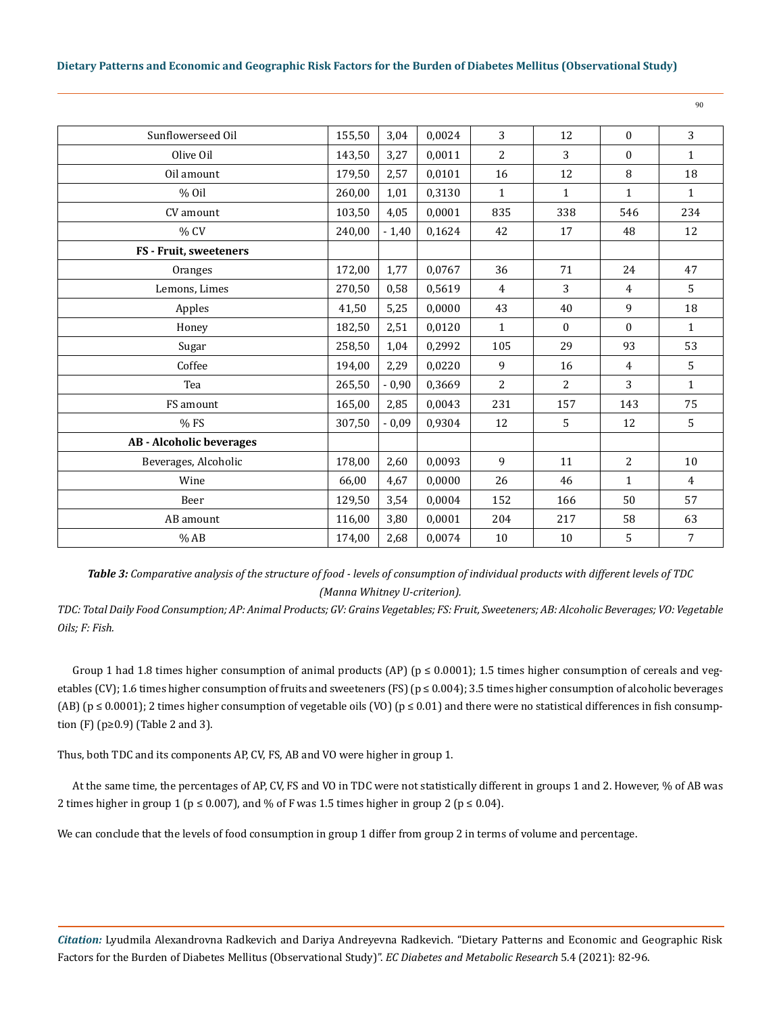| 155,50 | 3,04    | 0,0024 | 3              | 12           | $\mathbf{0}$     | 3              |
|--------|---------|--------|----------------|--------------|------------------|----------------|
| 143,50 | 3,27    | 0,0011 | 2              | 3            | $\boldsymbol{0}$ | $\mathbf{1}$   |
| 179,50 | 2,57    | 0,0101 | 16             | 12           | 8                | 18             |
| 260,00 | 1,01    | 0,3130 | $\mathbf{1}$   | $\mathbf{1}$ | $\mathbf{1}$     | $\mathbf{1}$   |
| 103,50 | 4,05    | 0,0001 | 835            | 338          | 546              | 234            |
| 240,00 | $-1,40$ | 0,1624 | 42             | 17           | 48               | 12             |
|        |         |        |                |              |                  |                |
| 172,00 | 1,77    | 0,0767 | 36             | 71           | 24               | 47             |
| 270,50 | 0,58    | 0,5619 | $\overline{4}$ | 3            | 4                | 5              |
| 41,50  | 5,25    | 0,0000 | 43             | 40           | 9                | 18             |
| 182,50 | 2,51    | 0,0120 | $\mathbf{1}$   | $\Omega$     | $\mathbf{0}$     | $\mathbf{1}$   |
| 258,50 | 1,04    | 0,2992 | 105            | 29           | 93               | 53             |
| 194,00 | 2,29    | 0,0220 | 9              | 16           | 4                | 5              |
| 265,50 | $-0,90$ | 0,3669 | 2              | 2            | 3                | $\mathbf{1}$   |
| 165,00 | 2,85    | 0,0043 | 231            | 157          | 143              | 75             |
| 307,50 | $-0,09$ | 0,9304 | 12             | 5            | 12               | 5              |
|        |         |        |                |              |                  |                |
| 178,00 | 2,60    | 0,0093 | 9              | 11           | $\overline{2}$   | 10             |
| 66,00  | 4,67    | 0,0000 | 26             | 46           | 1                | $\overline{4}$ |
| 129,50 | 3,54    | 0,0004 | 152            | 166          | 50               | 57             |
| 116,00 | 3,80    | 0,0001 | 204            | 217          | 58               | 63             |
| 174,00 | 2,68    | 0,0074 | 10             | 10           | 5                | 7              |
|        |         |        |                |              |                  |                |

*Table 3: Comparative analysis of the structure of food - levels of consumption of individual products with different levels of TDC (Manna Whitney U-criterion).*

*TDC: Total Daily Food Consumption; AP: Animal Products; GV: Grains Vegetables; FS: Fruit, Sweeteners; AB: Alcoholic Beverages; VO: Vegetable Oils; F: Fish.*

Group 1 had 1.8 times higher consumption of animal products (AP) ( $p \le 0.0001$ ); 1.5 times higher consumption of cereals and vegetables (CV); 1.6 times higher consumption of fruits and sweeteners (FS) ( $p \le 0.004$ ); 3.5 times higher consumption of alcoholic beverages (AB) ( $p \le 0.0001$ ); 2 times higher consumption of vegetable oils (VO) ( $p \le 0.01$ ) and there were no statistical differences in fish consumption (F) ( $p \ge 0.9$ ) (Table 2 and 3).

Thus, both TDC and its components AP, CV, FS, AB and VO were higher in group 1.

At the same time, the percentages of AP, CV, FS and VO in TDC were not statistically different in groups 1 and 2. However, % of AB was 2 times higher in group 1 ( $p \le 0.007$ ), and % of F was 1.5 times higher in group 2 ( $p \le 0.04$ ).

We can conclude that the levels of food consumption in group 1 differ from group 2 in terms of volume and percentage.

*Citation:* Lyudmila Alexandrovna Radkevich and Dariya Andreyevna Radkevich*.* "Dietary Patterns and Economic and Geographic Risk Factors for the Burden of Diabetes Mellitus (Observational Study)". *EC Diabetes and Metabolic Research* 5.4 (2021): 82-96.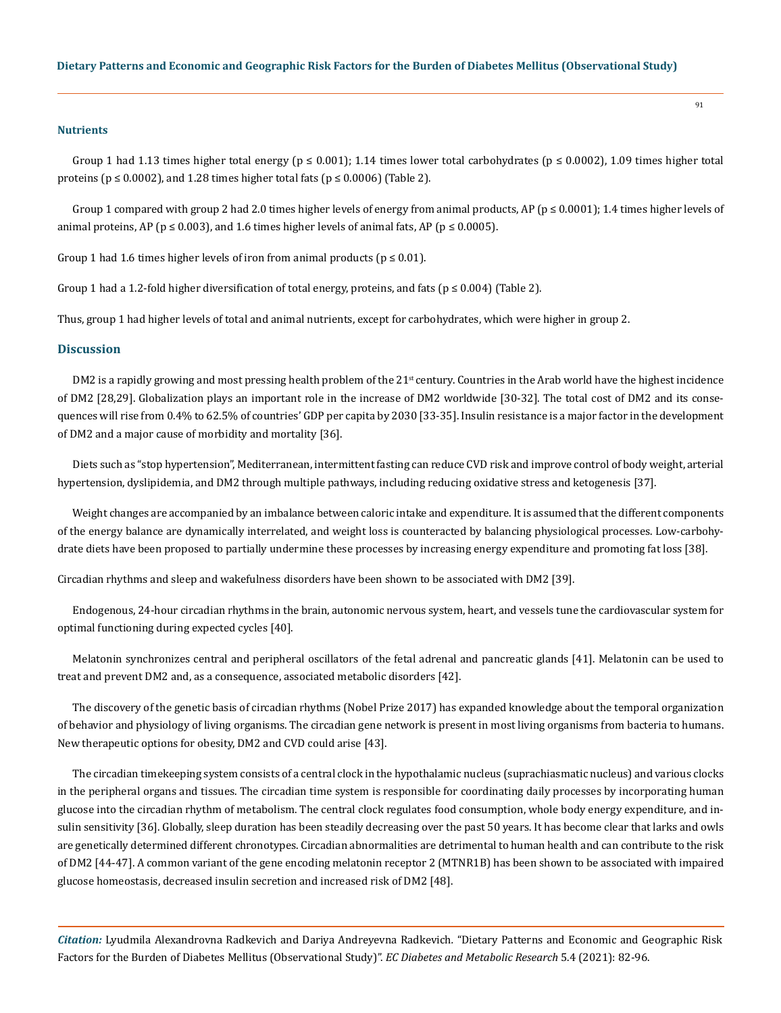#### **Nutrients**

Group 1 had 1.13 times higher total energy ( $p \le 0.001$ ); 1.14 times lower total carbohydrates ( $p \le 0.0002$ ), 1.09 times higher total proteins ( $p \le 0.0002$ ), and 1.28 times higher total fats ( $p \le 0.0006$ ) (Table 2).

Group 1 compared with group 2 had 2.0 times higher levels of energy from animal products, AP ( $p \le 0.0001$ ); 1.4 times higher levels of animal proteins, AP ( $p \le 0.003$ ), and 1.6 times higher levels of animal fats, AP ( $p \le 0.0005$ ).

Group 1 had 1.6 times higher levels of iron from animal products ( $p \le 0.01$ ).

Group 1 had a 1.2-fold higher diversification of total energy, proteins, and fats ( $p \le 0.004$ ) (Table 2).

Thus, group 1 had higher levels of total and animal nutrients, except for carbohydrates, which were higher in group 2.

#### **Discussion**

DM2 is a rapidly growing and most pressing health problem of the  $21<sup>st</sup>$  century. Countries in the Arab world have the highest incidence of DM2 [28,29]. Globalization plays an important role in the increase of DM2 worldwide [30-32]. The total cost of DM2 and its consequences will rise from 0.4% to 62.5% of countries' GDP per capita by 2030 [33-35]. Insulin resistance is a major factor in the development of DM2 and a major cause of morbidity and mortality [36].

Diets such as "stop hypertension", Mediterranean, intermittent fasting can reduce CVD risk and improve control of body weight, arterial hypertension, dyslipidemia, and DM2 through multiple pathways, including reducing oxidative stress and ketogenesis [37].

Weight changes are accompanied by an imbalance between caloric intake and expenditure. It is assumed that the different components of the energy balance are dynamically interrelated, and weight loss is counteracted by balancing physiological processes. Low-carbohydrate diets have been proposed to partially undermine these processes by increasing energy expenditure and promoting fat loss [38].

Circadian rhythms and sleep and wakefulness disorders have been shown to be associated with DM2 [39].

Endogenous, 24-hour circadian rhythms in the brain, autonomic nervous system, heart, and vessels tune the cardiovascular system for optimal functioning during expected cycles [40].

Melatonin synchronizes central and peripheral oscillators of the fetal adrenal and pancreatic glands [41]. Melatonin can be used to treat and prevent DM2 and, as a consequence, associated metabolic disorders [42].

The discovery of the genetic basis of circadian rhythms (Nobel Prize 2017) has expanded knowledge about the temporal organization of behavior and physiology of living organisms. The circadian gene network is present in most living organisms from bacteria to humans. New therapeutic options for obesity, DM2 and CVD could arise [43].

The circadian timekeeping system consists of a central clock in the hypothalamic nucleus (suprachiasmatic nucleus) and various clocks in the peripheral organs and tissues. The circadian time system is responsible for coordinating daily processes by incorporating human glucose into the circadian rhythm of metabolism. The central clock regulates food consumption, whole body energy expenditure, and insulin sensitivity [36]. Globally, sleep duration has been steadily decreasing over the past 50 years. It has become clear that larks and owls are genetically determined different chronotypes. Circadian abnormalities are detrimental to human health and can contribute to the risk of DM2 [44-47]. A common variant of the gene encoding melatonin receptor 2 (MTNR1B) has been shown to be associated with impaired glucose homeostasis, decreased insulin secretion and increased risk of DM2 [48].

*Citation:* Lyudmila Alexandrovna Radkevich and Dariya Andreyevna Radkevich*.* "Dietary Patterns and Economic and Geographic Risk Factors for the Burden of Diabetes Mellitus (Observational Study)". *EC Diabetes and Metabolic Research* 5.4 (2021): 82-96.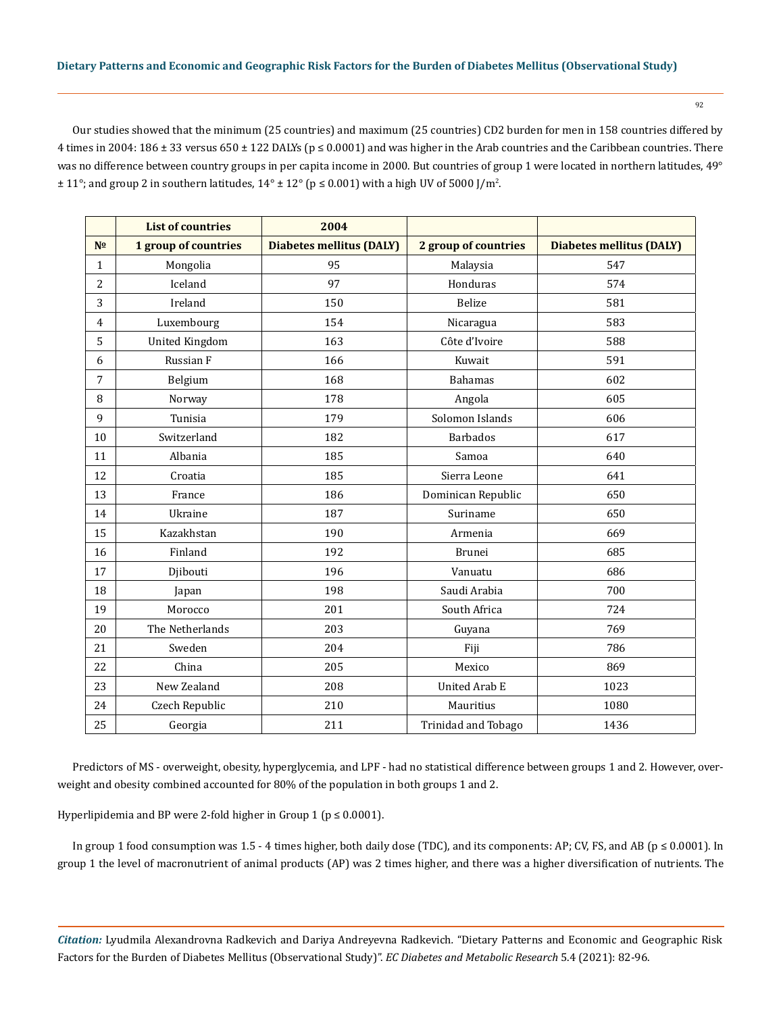Our studies showed that the minimum (25 countries) and maximum (25 countries) CD2 burden for men in 158 countries differed by 4 times in 2004: 186 ± 33 versus 650 ± 122 DALYs ( $p \le 0.0001$ ) and was higher in the Arab countries and the Caribbean countries. There was no difference between country groups in per capita income in 2000. But countries of group 1 were located in northern latitudes, 49°  $\pm$  11°; and group 2 in southern latitudes, 14°  $\pm$  12° (p ≤ 0.001) with a high UV of 5000 J/m<sup>2</sup>.

|                | <b>List of countries</b> | 2004                            |                      |                                 |
|----------------|--------------------------|---------------------------------|----------------------|---------------------------------|
| N <sub>2</sub> | 1 group of countries     | <b>Diabetes mellitus (DALY)</b> | 2 group of countries | <b>Diabetes mellitus (DALY)</b> |
| $\mathbf{1}$   | Mongolia                 | 95                              | Malaysia             | 547                             |
| $\overline{2}$ | Iceland                  | 97                              | Honduras             | 574                             |
| 3              | Ireland                  | 150                             | <b>Belize</b>        | 581                             |
| $\overline{4}$ | Luxembourg               | 154                             | Nicaragua            | 583                             |
| 5              | <b>United Kingdom</b>    | 163                             | Côte d'Ivoire        | 588                             |
| 6              | Russian F                | 166                             | Kuwait               | 591                             |
| 7              | Belgium                  | 168                             | <b>Bahamas</b>       | 602                             |
| 8              | Norway                   | 178                             | Angola               | 605                             |
| 9              | Tunisia                  | 179                             | Solomon Islands      | 606                             |
| 10             | Switzerland              | 182                             | <b>Barbados</b>      | 617                             |
| 11             | Albania                  | 185                             | Samoa                | 640                             |
| 12             | Croatia                  | 185                             | Sierra Leone         | 641                             |
| 13             | France                   | 186                             | Dominican Republic   | 650                             |
| 14             | Ukraine                  | 187                             | Suriname             | 650                             |
| 15             | Kazakhstan               | 190                             | Armenia              | 669                             |
| 16             | Finland                  | 192                             | <b>Brunei</b>        | 685                             |
| 17             | Djibouti                 | 196                             | Vanuatu              | 686                             |
| 18             | Japan                    | 198                             | Saudi Arabia         | 700                             |
| 19             | Morocco                  | 201                             | South Africa         | 724                             |
| 20             | The Netherlands          | 203                             | Guyana               | 769                             |
| 21             | Sweden                   | 204                             | Fiji                 | 786                             |
| 22             | China                    | 205                             | Mexico               | 869                             |
| 23             | New Zealand              | 208                             | <b>United Arab E</b> | 1023                            |
| 24             | Czech Republic           | 210                             | Mauritius            | 1080                            |
| 25             | Georgia                  | 211                             | Trinidad and Tobago  | 1436                            |

Predictors of MS - overweight, obesity, hyperglycemia, and LPF - had no statistical difference between groups 1 and 2. However, overweight and obesity combined accounted for 80% of the population in both groups 1 and 2.

Hyperlipidemia and BP were 2-fold higher in Group 1 ( $p \le 0.0001$ ).

In group 1 food consumption was 1.5 - 4 times higher, both daily dose (TDC), and its components: AP; CV, FS, and AB (p ≤ 0.0001). In group 1 the level of macronutrient of animal products (AP) was 2 times higher, and there was a higher diversification of nutrients. The

*Citation:* Lyudmila Alexandrovna Radkevich and Dariya Andreyevna Radkevich*.* "Dietary Patterns and Economic and Geographic Risk Factors for the Burden of Diabetes Mellitus (Observational Study)". *EC Diabetes and Metabolic Research* 5.4 (2021): 82-96.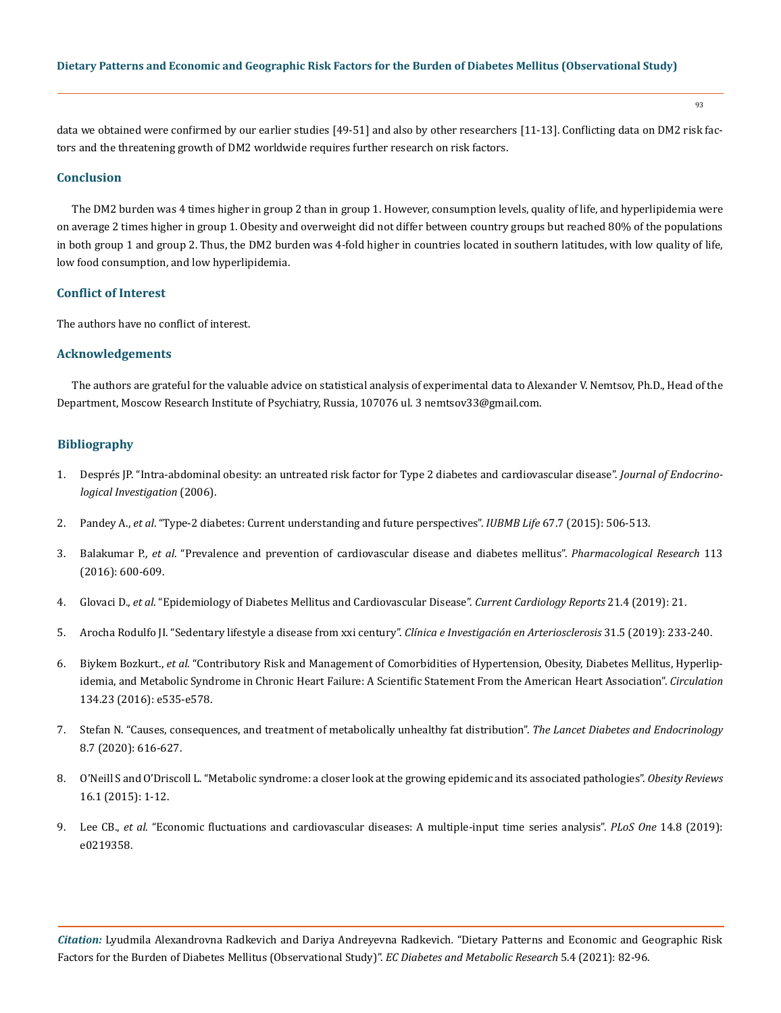93

data we obtained were confirmed by our earlier studies [49-51] and also by other researchers [11-13]. Conflicting data on DM2 risk factors and the threatening growth of DM2 worldwide requires further research on risk factors.

# **Conclusion**

The DM2 burden was 4 times higher in group 2 than in group 1. However, consumption levels, quality of life, and hyperlipidemia were on average 2 times higher in group 1. Obesity and overweight did not differ between country groups but reached 80% of the populations in both group 1 and group 2. Thus, the DM2 burden was 4-fold higher in countries located in southern latitudes, with low quality of life, low food consumption, and low hyperlipidemia.

# **Conflict of Interest**

The authors have no conflict of interest.

## **Acknowledgements**

The authors are grateful for the valuable advice on statistical analysis of experimental data to Alexander V. Nemtsov, Ph.D., Head of the Department, Moscow Research Institute of Psychiatry, Russia, 107076 ul. 3 nemtsov33@gmail.com.

#### **Bibliography**

- 1. [Després JP. "Intra-abdominal obesity: an untreated risk factor for Type 2 diabetes and cardiovascular disease".](https://www.researchgate.net/publication/7030698_Intra-abdominal_obesity_An_untreated_risk_factor_for_Type_2_diabetes_and_cardiovascular_disease) *Journal of Endocrino[logical Investigation](https://www.researchgate.net/publication/7030698_Intra-abdominal_obesity_An_untreated_risk_factor_for_Type_2_diabetes_and_cardiovascular_disease)* (2006).
- 2. Pandey A., *et al*[. "Type-2 diabetes: Current understanding and future perspectives".](https://pubmed.ncbi.nlm.nih.gov/26177573/) *IUBMB Life* 67.7 (2015): 506-513.
- 3. Balakumar P., *et al*[. "Prevalence and prevention of cardiovascular disease and diabetes mellitus".](https://pubmed.ncbi.nlm.nih.gov/27697647/) *Pharmacological Research* 113 [\(2016\): 600-609.](https://pubmed.ncbi.nlm.nih.gov/27697647/)
- 4. Glovaci D., *et al*[. "Epidemiology of Diabetes Mellitus and Cardiovascular Disease".](https://pubmed.ncbi.nlm.nih.gov/30828746/) *Current Cardiology Reports* 21.4 (2019): 21.
- 5. [Arocha Rodulfo JI. "Sedentary lifestyle a disease from xxi century".](https://europepmc.org/article/med/31221536) *Clínica e Investigación en Arteriosclerosis* 31.5 (2019): 233-240.
- 6. Biykem Bozkurt., *et al*[. "Contributory Risk and Management of Comorbidities of Hypertension, Obesity, Diabetes Mellitus, Hyperlip](https://pubmed.ncbi.nlm.nih.gov/27799274/)[idemia, and Metabolic Syndrome in Chronic Heart Failure: A Scientific Statement From the American Heart Association".](https://pubmed.ncbi.nlm.nih.gov/27799274/) *Circulation* [134.23 \(2016\): e535-e578.](https://pubmed.ncbi.nlm.nih.gov/27799274/)
- 7. [Stefan N. "Causes, consequences, and treatment of metabolically unhealthy fat distribution".](https://www.sciencedirect.com/science/article/abs/pii/S2213858720301108) *The Lancet Diabetes and Endocrinology*  [8.7 \(2020\): 616-627.](https://www.sciencedirect.com/science/article/abs/pii/S2213858720301108)
- 8. [O'Neill S and O'Driscoll L. "Metabolic syndrome: a closer look at the growing epidemic and its associated pathologies".](https://pubmed.ncbi.nlm.nih.gov/25407540/) *Obesity Reviews*  [16.1 \(2015\): 1-12.](https://pubmed.ncbi.nlm.nih.gov/25407540/)
- 9. Lee CB., *et al*[. "Economic fluctuations and cardiovascular diseases: A multiple-input time series analysis".](https://journals.plos.org/plosone/article?id=10.1371/journal.pone.0219358) *PLoS One* 14.8 (2019): [e0219358.](https://journals.plos.org/plosone/article?id=10.1371/journal.pone.0219358)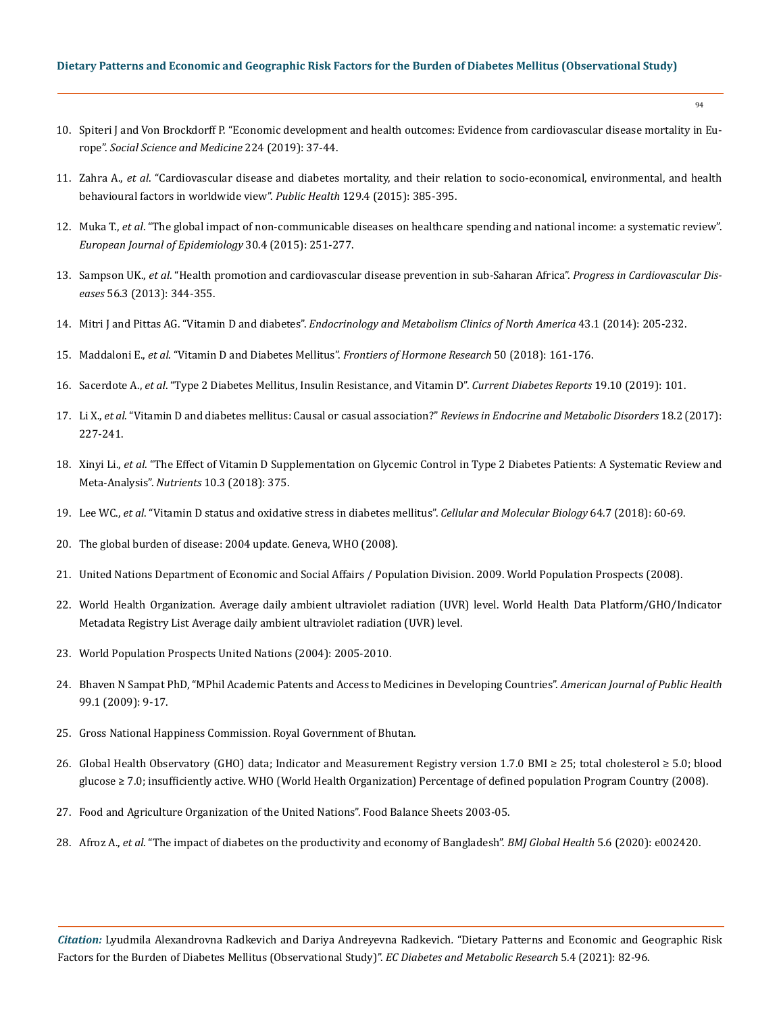- 10. [Spiteri J and Von Brockdorff P. "Economic development and health outcomes: Evidence from cardiovascular disease mortality in Eu](https://www.researchgate.net/publication/330746983_Economic_development_and_health_outcomes_Evidence_from_cardiovascular_disease_mortality_in_Europe)rope". *[Social Science and Medicine](https://www.researchgate.net/publication/330746983_Economic_development_and_health_outcomes_Evidence_from_cardiovascular_disease_mortality_in_Europe)* 224 (2019): 37-44.
- 11. Zahra A., *et al*[. "Cardiovascular disease and diabetes mortality, and their relation to socio-economical, environmental, and health](https://pubmed.ncbi.nlm.nih.gov/25724438/) behavioural factors in worldwide view". *Public Health* 129.4 (2015): 385-395.
- 12. Muka T., *et al*[. "The global impact of non-communicable diseases on healthcare spending and national income: a systematic review".](https://pubmed.ncbi.nlm.nih.gov/25595318/) *[European Journal of Epidemiology](https://pubmed.ncbi.nlm.nih.gov/25595318/)* 30.4 (2015): 251-277.
- 13. Sampson UK., *et al*[. "Health promotion and cardiovascular disease prevention in sub-Saharan Africa".](https://www.researchgate.net/publication/258851456_Health_Promotion_and_Cardiovascular_Disease_Prevention_in_Sub-Saharan_Africa) *Progress in Cardiovascular Diseases* [56.3 \(2013\): 344-355.](https://www.researchgate.net/publication/258851456_Health_Promotion_and_Cardiovascular_Disease_Prevention_in_Sub-Saharan_Africa)
- 14. Mitri J and Pittas AG. "Vitamin D and diabetes". *[Endocrinology and Metabolism Clinics of North America](https://www.diabetes.co.uk/food/vitamin-d.html)* 43.1 (2014): 205-232.
- 15. Maddaloni E., *et al*. "Vitamin D and Diabetes Mellitus". *[Frontiers of Hormone Research](https://pubmed.ncbi.nlm.nih.gov/29597238/)* 50 (2018): 161-176.
- 16. Sacerdote A., *et al*[. "Type 2 Diabetes Mellitus, Insulin Resistance, and Vitamin D".](https://link.springer.com/article/10.1007/s11892-019-1201-y) *Current Diabetes Reports* 19.10 (2019): 101.
- 17. Li X., *et al*[. "Vitamin D and diabetes mellitus: Causal or casual association?"](https://www.researchgate.net/publication/312135797_Vitamin_D_and_diabetes_mellitus_Causal_or_casual_association) *Reviews in Endocrine and Metabolic Disorders* 18.2 (2017): [227-241.](https://www.researchgate.net/publication/312135797_Vitamin_D_and_diabetes_mellitus_Causal_or_casual_association)
- 18. Xinyi Li., *et al*[. "The Effect of Vitamin D Supplementation on Glycemic Control in Type 2 Diabetes Patients: A Systematic Review and](https://pubmed.ncbi.nlm.nih.gov/29562681/) Meta-Analysis". *Nutrients* [10.3 \(2018\): 375.](https://pubmed.ncbi.nlm.nih.gov/29562681/)
- 19. Lee WC., *et al*[. "Vitamin D status and oxidative stress in diabetes mellitus".](https://www.researchgate.net/publication/326178622_Vitamin_D_status_and_oxidative_stress_in_diabetes_mellitus) *Cellular and Molecular Biology* 64.7 (2018): 60-69.
- 20. The global burden of disease: 2004 update. Geneva, WHO (2008).
- 21. United Nations Department of Economic and Social Affairs / Population Division. 2009. World Population Prospects (2008).
- 22. World Health Organization. Average daily ambient ultraviolet radiation (UVR) level. World Health Data Platform/GHO/Indicator Metadata Registry List Average daily ambient ultraviolet radiation (UVR) level.
- 23. [World Population Prospects United Nations \(2004\): 2005-2010.](https://www.un.org/en/development/desa/population/publications/trends/population-prospects.asp)
- 24. Bhaven N Sampat PhD, "MPhil Academic Patents and Access to Medicines in Developing Countries". *American Journal of Public Health*  99.1 (2009): 9-17.
- 25. Gross National Happiness Commission. Royal Government of Bhutan.
- 26. Global Health Observatory (GHO) data; Indicator and Measurement Registry version 1.7.0 BMI ≥ 25; total cholesterol ≥ 5.0; blood glucose ≥ 7.0; insufficiently active. WHO (World Health Organization) Percentage of defined population Program Country (2008).
- 27. Food and Agriculture Organization of the United Nations". Food Balance Sheets 2003-05.
- 28. Afroz A., *et al*[. "The impact of diabetes on the productivity and economy of Bangladesh".](https://gh.bmj.com/content/5/6/e002420) *BMJ Global Health* 5.6 (2020): e002420.

*Citation:* Lyudmila Alexandrovna Radkevich and Dariya Andreyevna Radkevich*.* "Dietary Patterns and Economic and Geographic Risk Factors for the Burden of Diabetes Mellitus (Observational Study)". *EC Diabetes and Metabolic Research* 5.4 (2021): 82-96.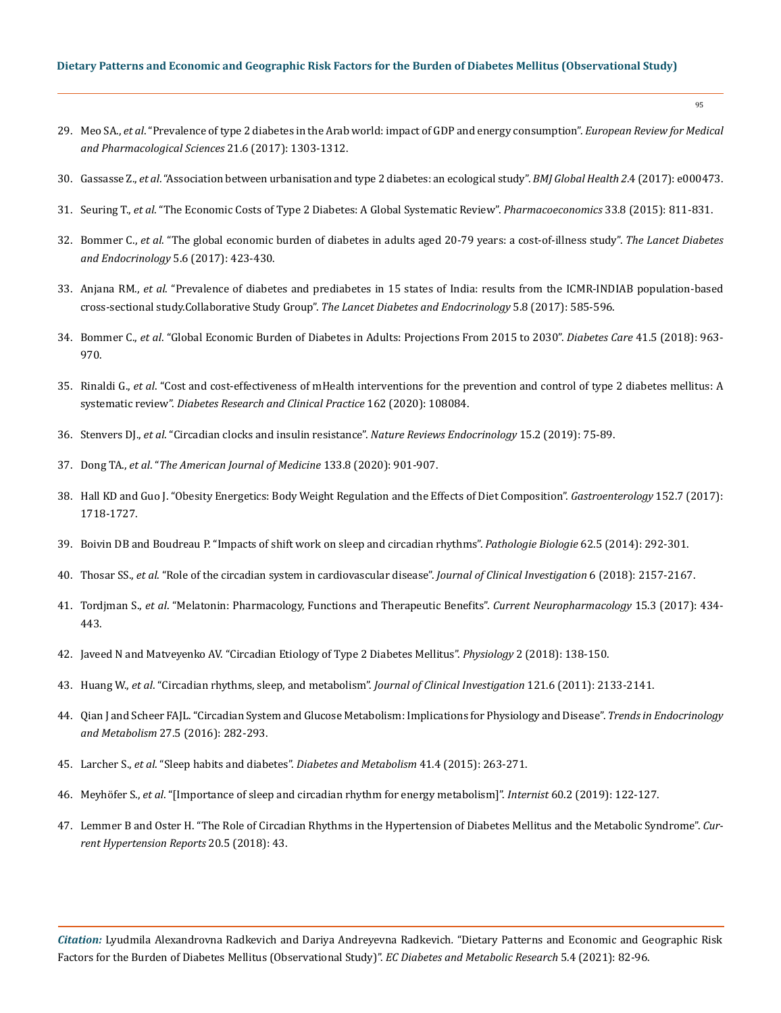- 29. Meo SA., *et al*[. "Prevalence of type 2 diabetes in the Arab world: impact of GDP and energy consumption".](https://pubmed.ncbi.nlm.nih.gov/28387897/) *European Review for Medical [and Pharmacological Sciences](https://pubmed.ncbi.nlm.nih.gov/28387897/)* 21.6 (2017): 1303-1312.
- 30. Gassasse Z., *et al*[. "Association between urbanisation and type 2 diabetes: an ecological study".](https://www.ncbi.nlm.nih.gov/pmc/articles/PMC5663267/) *BMJ Global Health 2*.4 (2017): e000473.
- 31. Seuring T., *et al*[. "The Economic Costs of Type 2 Diabetes: A Global Systematic Review".](https://pubmed.ncbi.nlm.nih.gov/25787932/) *Pharmacoeconomics* 33.8 (2015): 811-831.
- 32. Bommer C., *et al*[. "The global economic burden of diabetes in adults aged 20-79 years: a cost-of-illness study".](https://pubmed.ncbi.nlm.nih.gov/28456416/) *The Lancet Diabetes [and Endocrinology](https://pubmed.ncbi.nlm.nih.gov/28456416/)* 5.6 (2017): 423-430.
- 33. Anjana RM., *et al*[. "Prevalence of diabetes and prediabetes in 15 states of India: results from the ICMR-INDIAB population-based](https://www.sciencedirect.com/science/article/abs/pii/S2213858717301742) [cross-sectional study.Collaborative Study Group".](https://www.sciencedirect.com/science/article/abs/pii/S2213858717301742) *The Lancet Diabetes and Endocrinology* 5.8 (2017): 585-596.
- 34. Bommer C., *et al*[. "Global Economic Burden of Diabetes in Adults: Projections From 2015 to 2030".](https://pubmed.ncbi.nlm.nih.gov/29475843/) *Diabetes Care* 41.5 (2018): 963- [970.](https://pubmed.ncbi.nlm.nih.gov/29475843/)
- 35. Rinaldi G., *et al*[. "Cost and cost-effectiveness of mHealth interventions for the prevention and control of type 2 diabetes mellitus: A](https://pubmed.ncbi.nlm.nih.gov/32061819/) systematic review". *[Diabetes Research and Clinical Practice](https://pubmed.ncbi.nlm.nih.gov/32061819/)* 162 (2020): 108084.
- 36. Stenvers DJ., *et al*[. "Circadian clocks and insulin resistance".](https://www.nature.com/articles/s41574-018-0122-1) *Nature Reviews Endocrinology* 15.2 (2019): 75-89.
- 37. Dong TA., *et al*. "*[The American Journal of Medicine](https://www.journals.elsevier.com/the-american-journal-of-medicine)* 133.8 (2020): 901-907.
- 38. [Hall KD and Guo J. "Obesity Energetics: Body Weight Regulation and the Effects of Diet Composition".](https://pubmed.ncbi.nlm.nih.gov/28193517/) *Gastroenterology* 152.7 (2017): [1718-1727.](https://pubmed.ncbi.nlm.nih.gov/28193517/)
- 39. [Boivin DB and Boudreau P. "Impacts of shift work on sleep and circadian rhythms".](https://pubmed.ncbi.nlm.nih.gov/25246026/) *Pathologie Biologie* 62.5 (2014): 292-301.
- 40. Thosar SS., *et al*. "Role of the circadian system in cardiovascular disease". *Journal of Clinical Investigation* 6 (2018): 2157-2167.
- 41. Tordjman S., *et al*[. "Melatonin: Pharmacology, Functions and Therapeutic Benefits".](https://www.ncbi.nlm.nih.gov/pmc/articles/PMC5405617/) *Current Neuropharmacology* 15.3 (2017): 434- [443.](https://www.ncbi.nlm.nih.gov/pmc/articles/PMC5405617/)
- 42. [Javeed N and Matveyenko AV. "Circadian Etiology of Type 2 Diabetes Mellitus".](https://pubmed.ncbi.nlm.nih.gov/29412061/) *Physiology* 2 (2018): 138-150.
- 43. Huang W., *et al*[. "Circadian rhythms, sleep, and metabolism".](https://pubmed.ncbi.nlm.nih.gov/21633182/) *Journal of Clinical Investigation* 121.6 (2011): 2133-2141.
- 44. [Qian J and Scheer FAJL. "Circadian System and Glucose Metabolism: Implications for Physiology and Disease".](https://www.sciencedirect.com/science/article/abs/pii/S1043276016000394) *Trends in Endocrinology and Metabolism* [27.5 \(2016\): 282-293.](https://www.sciencedirect.com/science/article/abs/pii/S1043276016000394)
- 45. Larcher S., *et al*. "Sleep habits and diabetes". *[Diabetes and Metabolism](https://pubmed.ncbi.nlm.nih.gov/25623152/)* 41.4 (2015): 263-271.
- 46. Meyhöfer S., *et al*[. "\[Importance of sleep and circadian rhythm for energy metabolism\]".](https://europepmc.org/article/med/30645664) *Internist* 60.2 (2019): 122-127.
- 47. [Lemmer B and Oster H. "The Role of Circadian Rhythms in the Hypertension of Diabetes Mellitus and the Metabolic Syndrome".](https://link.springer.com/article/10.1007/s11906-018-0843-5) *Cur[rent Hypertension Reports](https://link.springer.com/article/10.1007/s11906-018-0843-5)* 20.5 (2018): 43.

*Citation:* Lyudmila Alexandrovna Radkevich and Dariya Andreyevna Radkevich*.* "Dietary Patterns and Economic and Geographic Risk Factors for the Burden of Diabetes Mellitus (Observational Study)". *EC Diabetes and Metabolic Research* 5.4 (2021): 82-96.